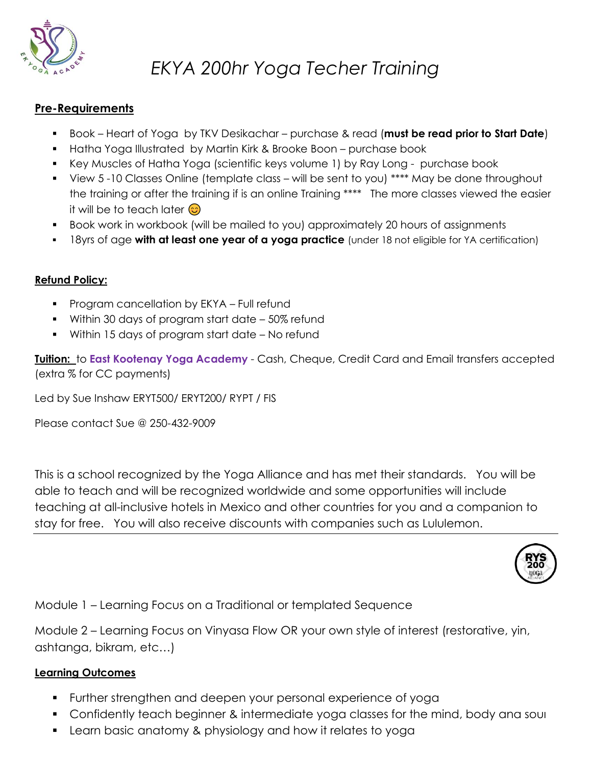

# *EKYA 200hr Yoga Techer Training*

#### **Pre-Requirements**

- Book Heart of Yoga by TKV Desikachar purchase & read (**must be read prior to Start Date**)
- Hatha Yoga Illustrated by Martin Kirk & Brooke Boon purchase book
- Key Muscles of Hatha Yoga (scientific keys volume 1) by Ray Long purchase book
- View 5 -10 Classes Online (template class will be sent to you) \*\*\*\* May be done throughout the training or after the training if is an online Training \*\*\*\* The more classes viewed the easier it will be to teach later  $\odot$
- Book work in workbook (will be mailed to you) approximately 20 hours of assignments
- 18yrs of age **with at least one year of a yoga practice** (under 18 not eligible for YA certification)

#### **Refund Policy:**

- Program cancellation by EKYA Full refund
- Within 30 days of program start date 50% refund
- Within 15 days of program start date No refund

**Tuition:** to **East Kootenay Yoga Academy** - Cash, Cheque, Credit Card and Email transfers accepted (extra % for CC payments)

Led by Sue Inshaw ERYT500/ ERYT200/ RYPT / FIS

Please contact Sue @ 250-432-9009

This is a school recognized by the Yoga Alliance and has met their standards. You will be able to teach and will be recognized worldwide and some opportunities will include teaching at all-inclusive hotels in Mexico and other countries for you and a companion to stay for free. You will also receive discounts with companies such as Lululemon.



Module 1 – Learning Focus on a Traditional or templated Sequence

Module 2 – Learning Focus on Vinyasa Flow OR your own style of interest (restorative, yin, ashtanga, bikram, etc…)

#### **Learning Outcomes**

- Further strengthen and deepen your personal experience of yoga
- Confidently teach beginner & intermediate yoga classes for the mind, body ana soul
- Learn basic anatomy & physiology and how it relates to yoga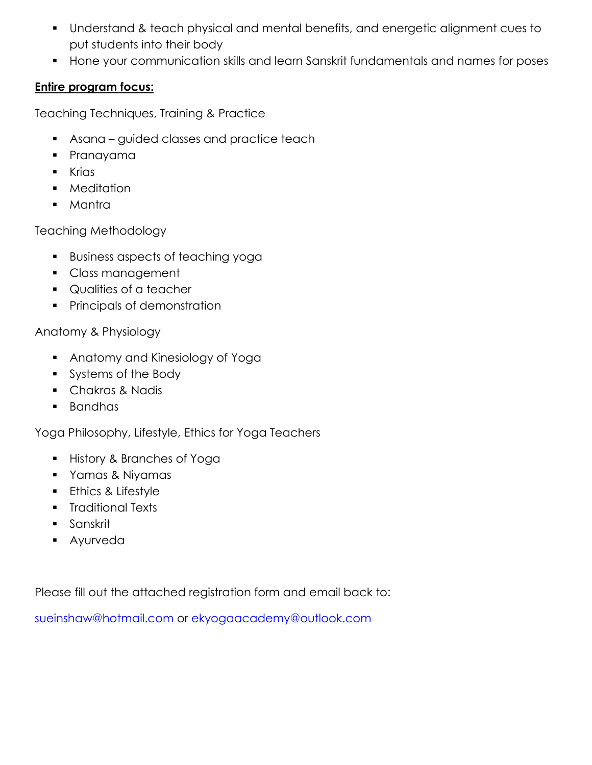- Understand & teach physical and mental benefits, and energetic alignment cues to put students into their body
- **EXT** Hone your communication skills and learn Sanskrit fundamentals and names for poses

### **Entire program focus:**

Teaching Techniques, Training & Practice

- **•** Asana guided classes and practice teach
- Pranayama
- Krias
- Meditation
- Mantra

Teaching Methodology

- Business aspects of teaching yoga
- Class management
- Qualities of a teacher
- Principals of demonstration

Anatomy & Physiology

- Anatomy and Kinesiology of Yoga
- Systems of the Body
- Chakras & Nadis
- Bandhas

Yoga Philosophy, Lifestyle, Ethics for Yoga Teachers

- History & Branches of Yoga
- Yamas & Niyamas
- **Ethics & Lifestyle**
- Traditional Texts
- Sanskrit
- Ayurveda

Please fill out the attached registration form and email back to:

[sueinshaw@hotmail.com](mailto:sueinshaw@hotmail.com) or [ekyogaacademy@outlook.com](mailto:ekyogaacademy@outlook.com)